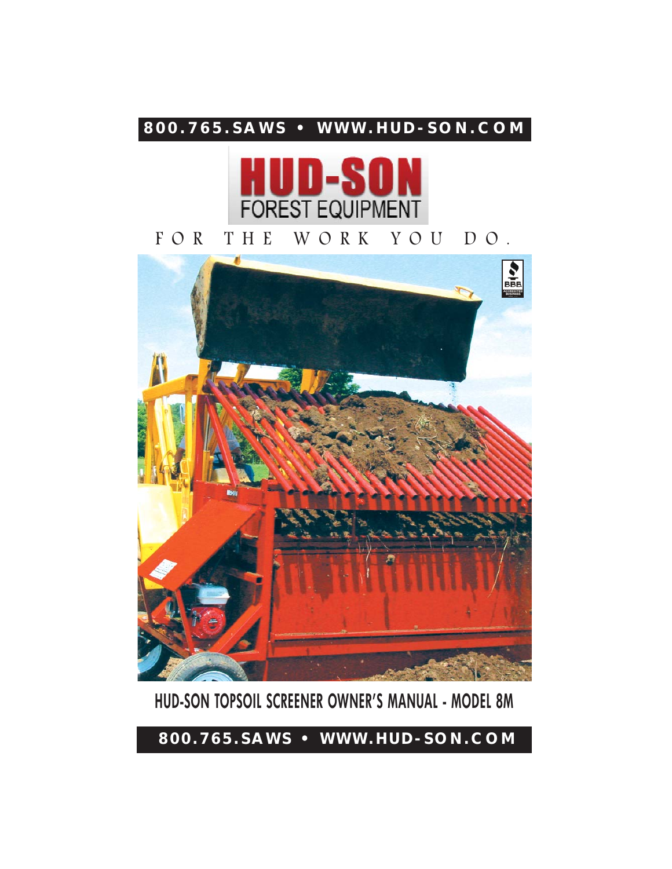# **800.765.SAWS • WWW.HUD-SON.COM**



FOR THE WORK YOU DO.



# **HUD-SON TOPSOIL SCREENER OWNER'S MANUAL - MODEL 8M**

**800.765.SAWS • WWW.HUD-SON.COM**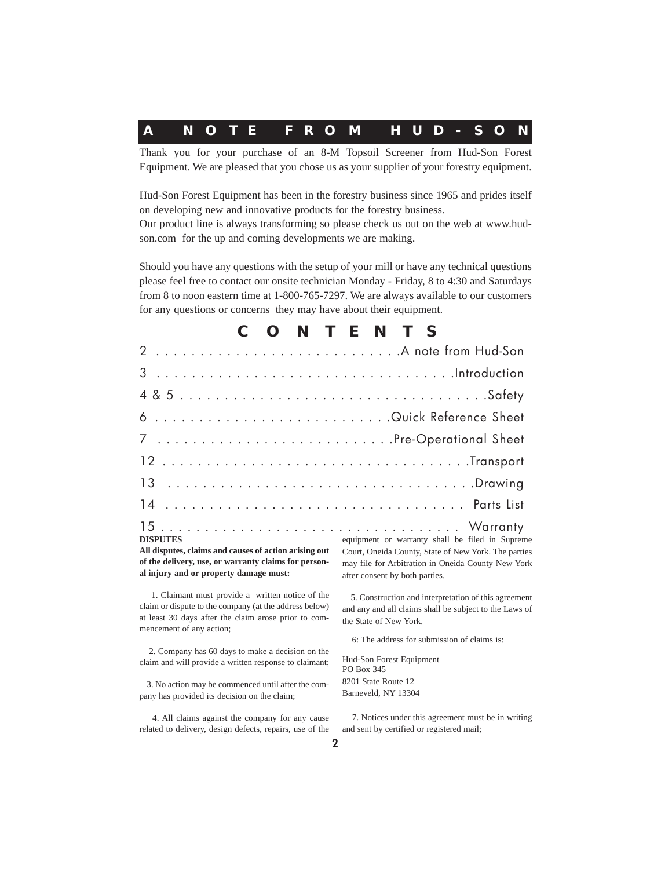| A NOTE FROM HUD-SON |  |  |  |  |  |  |  |  |  |  |  |  |  |  |  |  |  |
|---------------------|--|--|--|--|--|--|--|--|--|--|--|--|--|--|--|--|--|
|---------------------|--|--|--|--|--|--|--|--|--|--|--|--|--|--|--|--|--|

Thank you for your purchase of an 8-M Topsoil Screener from Hud-Son Forest Equipment. We are pleased that you chose us as your supplier of your forestry equipment.

Hud-Son Forest Equipment has been in the forestry business since 1965 and prides itself on developing new and innovative products for the forestry business.

Our product line is always transforming so please check us out on the web at www.hudson.com for the up and coming developments we are making.

Should you have any questions with the setup of your mill or have any technical questions please feel free to contact our onsite technician Monday - Friday, 8 to 4:30 and Saturdays from 8 to noon eastern time at 1-800-765-7297. We are always available to our customers for any questions or concerns they may have about their equipment.

|                                                                 | C O N T E N T S |  |  |  |  |  |
|-----------------------------------------------------------------|-----------------|--|--|--|--|--|
|                                                                 |                 |  |  |  |  |  |
|                                                                 |                 |  |  |  |  |  |
|                                                                 |                 |  |  |  |  |  |
| 6 Quick Reference Sheet                                         |                 |  |  |  |  |  |
| 7 Pre-Operational Sheet                                         |                 |  |  |  |  |  |
|                                                                 |                 |  |  |  |  |  |
|                                                                 |                 |  |  |  |  |  |
|                                                                 |                 |  |  |  |  |  |
| <b>DISPUTES</b> equipment or warranty shall be filed in Supreme |                 |  |  |  |  |  |

**All disputes, claims and causes of action arising out of the delivery, use, or warranty claims for personal injury and or property damage must:**

1. Claimant must provide a written notice of the claim or dispute to the company (at the address below) at least 30 days after the claim arose prior to commencement of any action;

2. Company has 60 days to make a decision on the claim and will provide a written response to claimant;

3. No action may be commenced until after the company has provided its decision on the claim;

4. All claims against the company for any cause related to delivery, design defects, repairs, use of the Court, Oneida County, State of New York. The parties may file for Arbitration in Oneida County New York after consent by both parties.

5. Construction and interpretation of this agreement and any and all claims shall be subject to the Laws of the State of New York.

6: The address for submission of claims is:

Hud-Son Forest Equipment PO Box 345 8201 State Route 12 Barneveld, NY 13304

7. Notices under this agreement must be in writing and sent by certified or registered mail;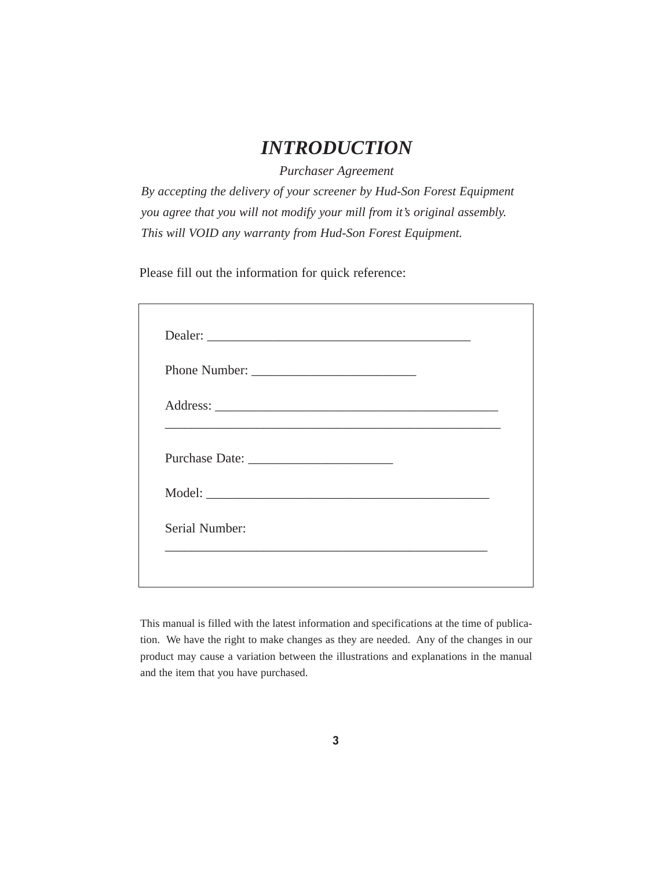## *INTRODUCTION*

*Purchaser Agreement*

*By accepting the delivery of your screener by Hud-Son Forest Equipment you agree that you will not modify your mill from it's original assembly. This will VOID any warranty from Hud-Son Forest Equipment.*

Please fill out the information for quick reference:

| Dealer: |  |  |
|---------|--|--|
|         |  |  |
|         |  |  |
|         |  |  |
| Model:  |  |  |
|         |  |  |

This manual is filled with the latest information and specifications at the time of publication. We have the right to make changes as they are needed. Any of the changes in our product may cause a variation between the illustrations and explanations in the manual and the item that you have purchased.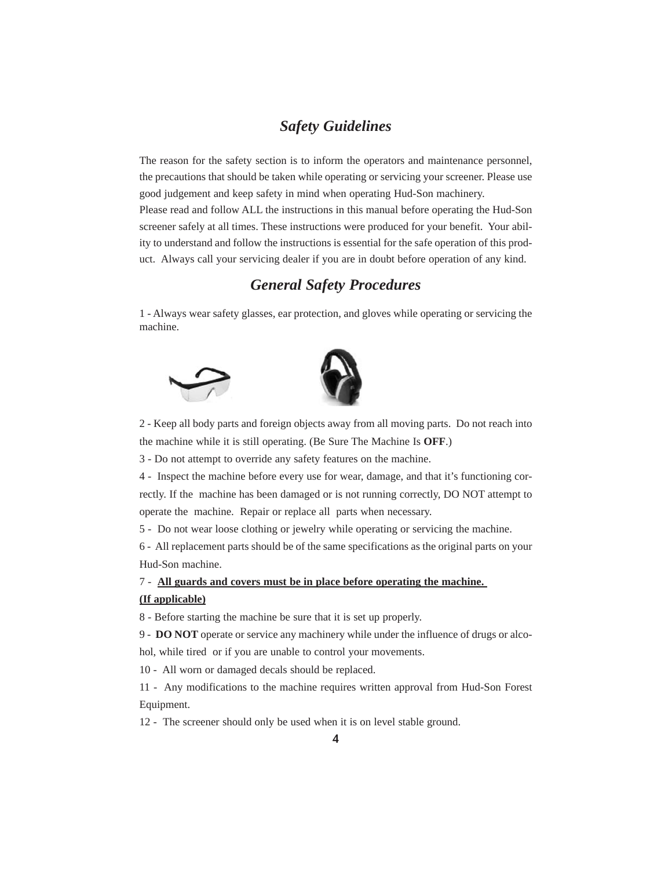### *Safety Guidelines*

The reason for the safety section is to inform the operators and maintenance personnel, the precautions that should be taken while operating or servicing your screener. Please use good judgement and keep safety in mind when operating Hud-Son machinery. Please read and follow ALL the instructions in this manual before operating the Hud-Son screener safely at all times. These instructions were produced for your benefit. Your ability to understand and follow the instructions is essential for the safe operation of this product. Always call your servicing dealer if you are in doubt before operation of any kind.

### *General Safety Procedures*

1 - Always wear safety glasses, ear protection, and gloves while operating or servicing the machine.





2 - Keep all body parts and foreign objects away from all moving parts. Do not reach into the machine while it is still operating. (Be Sure The Machine Is **OFF**.)

3 - Do not attempt to override any safety features on the machine.

4 - Inspect the machine before every use for wear, damage, and that it's functioning cor-

rectly. If the machine has been damaged or is not running correctly, DO NOT attempt to operate the machine. Repair or replace all parts when necessary.

5 - Do not wear loose clothing or jewelry while operating or servicing the machine.

6 - All replacement parts should be of the same specifications as the original parts on your Hud-Son machine.

7 - **All guards and covers must be in place before operating the machine.** 

### **(If applicable)**

8 - Before starting the machine be sure that it is set up properly.

9 - **DO NOT** operate or service any machinery while under the influence of drugs or alco-

hol, while tired or if you are unable to control your movements.

10 - All worn or damaged decals should be replaced.

11 - Any modifications to the machine requires written approval from Hud-Son Forest Equipment.

12 - The screener should only be used when it is on level stable ground.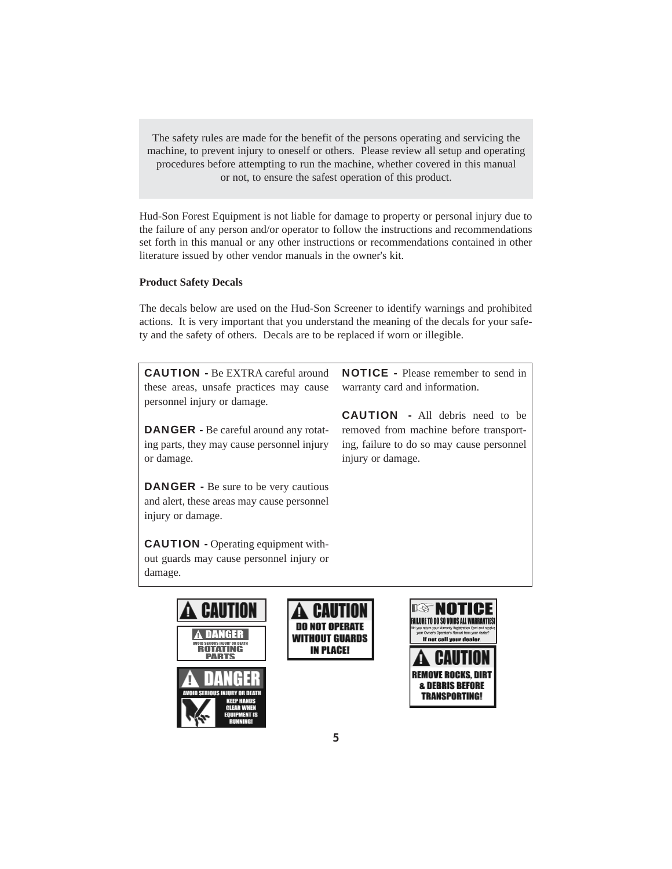The safety rules are made for the benefit of the persons operating and servicing the machine, to prevent injury to oneself or others. Please review all setup and operating procedures before attempting to run the machine, whether covered in this manual or not, to ensure the safest operation of this product.

Hud-Son Forest Equipment is not liable for damage to property or personal injury due to the failure of any person and/or operator to follow the instructions and recommendations set forth in this manual or any other instructions or recommendations contained in other literature issued by other vendor manuals in the owner's kit.

### **Product Safety Decals**

The decals below are used on the Hud-Son Screener to identify warnings and prohibited actions. It is very important that you understand the meaning of the decals for your safety and the safety of others. Decals are to be replaced if worn or illegible.

CAUTION - Be EXTRA careful around these areas, unsafe practices may cause personnel injury or damage.

DANGER - Be careful around any rotating parts, they may cause personnel injury or damage.

DANGER - Be sure to be very cautious and alert, these areas may cause personnel injury or damage.

CAUTION - Operating equipment without guards may cause personnel injury or damage.

NOTICE - Please remember to send in warranty card and information.

CAUTION - All debris need to be removed from machine before transporting, failure to do so may cause personnel injury or damage.





**IN PLACE!**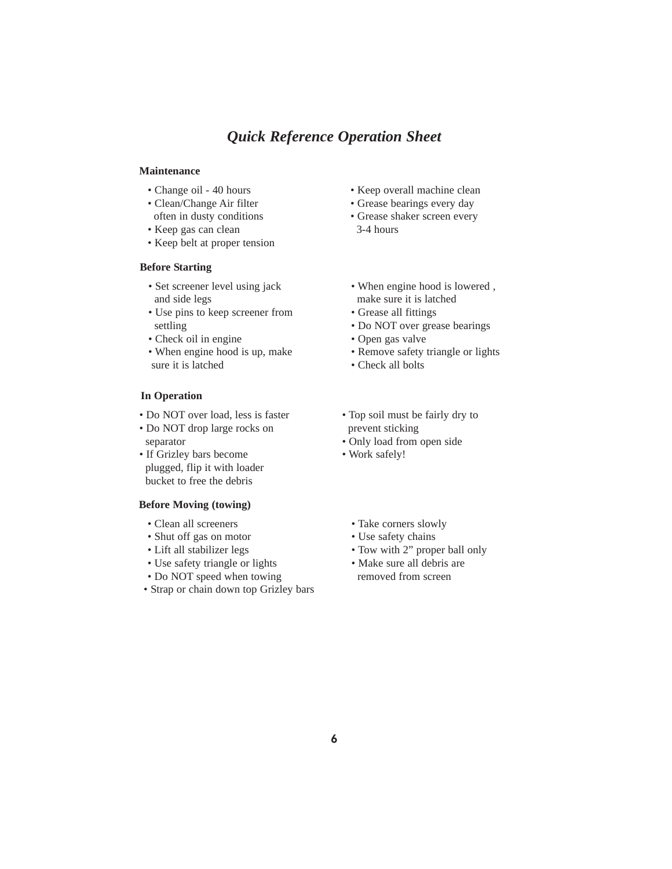### *Quick Reference Operation Sheet*

### **Maintenance**

- Change oil 40 hours
- Clean/Change Air filter
- often in dusty conditions
- Keep gas can clean
- Keep belt at proper tension

### **Before Starting**

- Set screener level using jack and side legs
- Use pins to keep screener from settling
- Check oil in engine
- When engine hood is up, make sure it is latched

### **In Operation**

- Do NOT over load, less is faster
- Do NOT drop large rocks on separator
- If Grizley bars become plugged, flip it with loader bucket to free the debris

### **Before Moving (towing)**

- Clean all screeners
- Shut off gas on motor
- Lift all stabilizer legs
- Use safety triangle or lights
- Do NOT speed when towing
- Strap or chain down top Grizley bars
- Keep overall machine clean
- Grease bearings every day
- Grease shaker screen every 3-4 hours
- When engine hood is lowered , make sure it is latched
- Grease all fittings
- Do NOT over grease bearings
- Open gas valve
- Remove safety triangle or lights
- Check all bolts
- Top soil must be fairly dry to prevent sticking
- Only load from open side
- Work safely!
	- Take corners slowly
	- Use safety chains
	- Tow with 2" proper ball only
	- Make sure all debris are removed from screen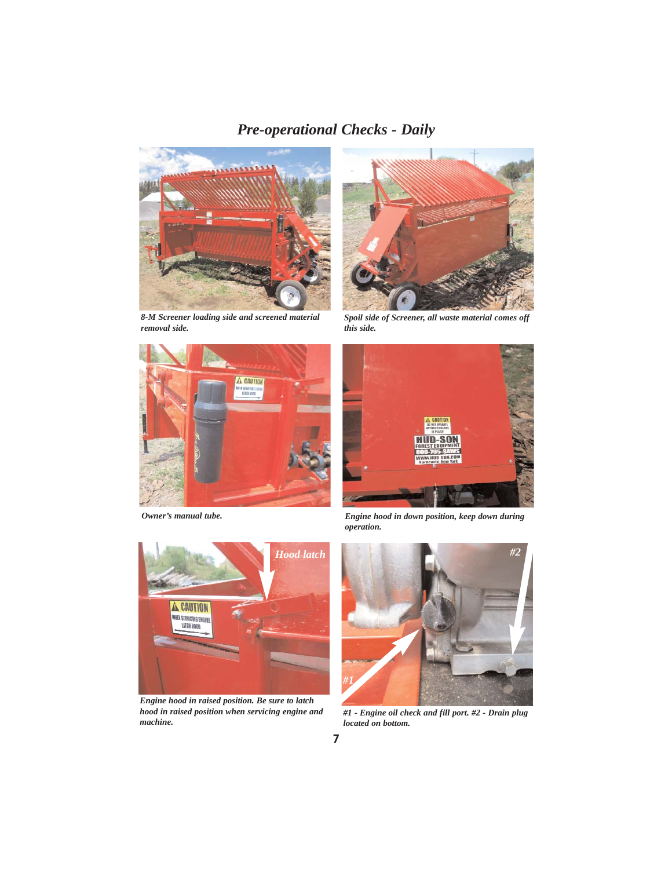## *Pre-operational Checks - Daily*



*8-M Screener loading side and screened material removal side.*





*Engine hood in raised position. Be sure to latch hood in raised position when servicing engine and machine.*



*Spoil side of Screener, all waste material comes off this side.*



*Owner's manual tube. Engine hood in down position, keep down during operation.*



*#1 - Engine oil check and fill port. #2 - Drain plug located on bottom.*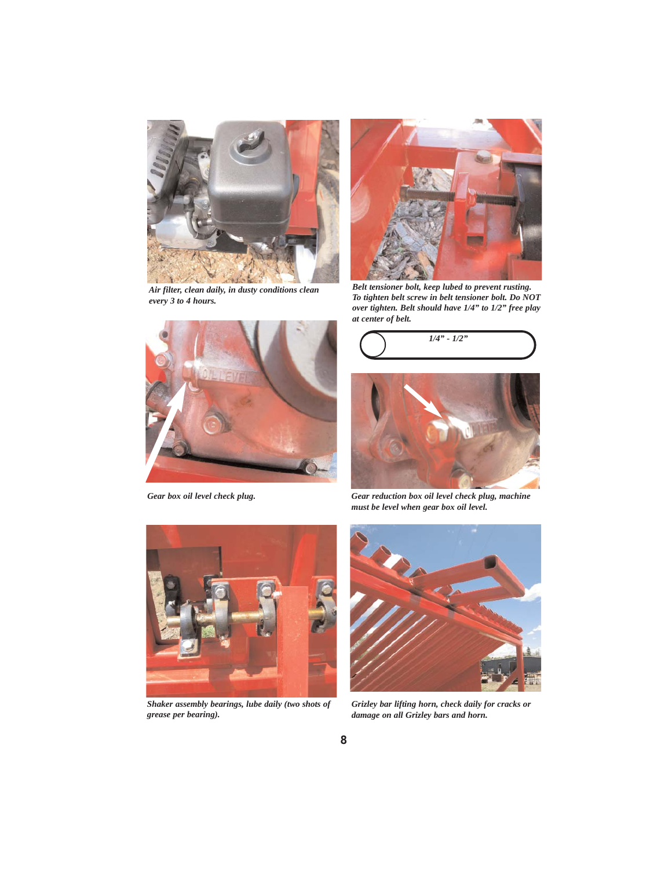

*Air filter, clean daily, in dusty conditions clean every 3 to 4 hours.*





*Belt tensioner bolt, keep lubed to prevent rusting. To tighten belt screw in belt tensioner bolt. Do NOT over tighten. Belt should have 1/4" to 1/2" free play at center of belt.*





*Gear box oil level check plug. Gear reduction box oil level check plug, machine must be level when gear box oil level.*



*Shaker assembly bearings, lube daily (two shots of grease per bearing).*



*Grizley bar lifting horn, check daily for cracks or damage on all Grizley bars and horn.*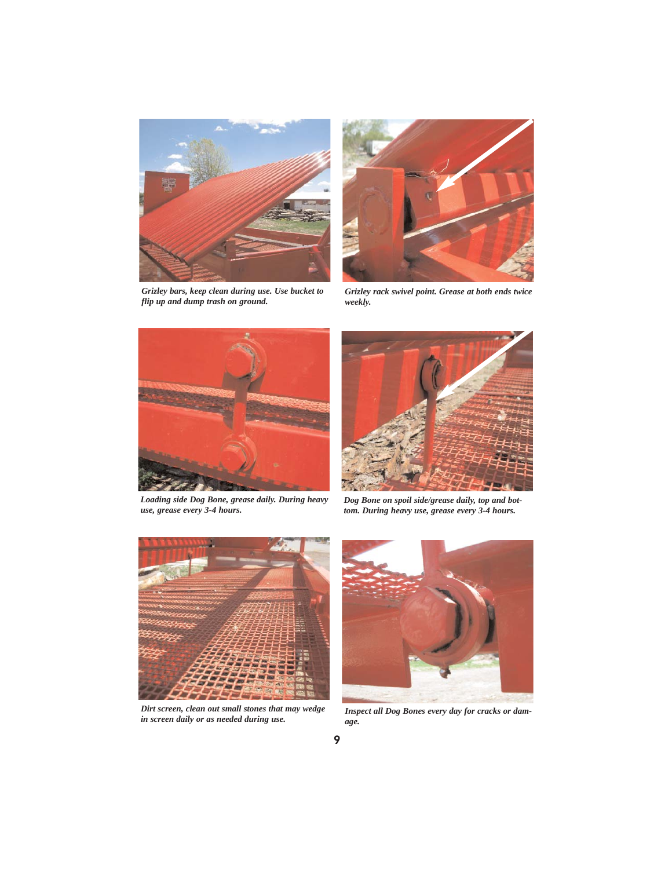

*Grizley bars, keep clean during use. Use bucket to flip up and dump trash on ground.*



*Grizley rack swivel point. Grease at both ends twice weekly.*



*Loading side Dog Bone, grease daily. During heavy use, grease every 3-4 hours.*



*Dog Bone on spoil side/grease daily, top and bottom. During heavy use, grease every 3-4 hours.*



*Dirt screen, clean out small stones that may wedge in screen daily or as needed during use.*



*Inspect all Dog Bones every day for cracks or damage.*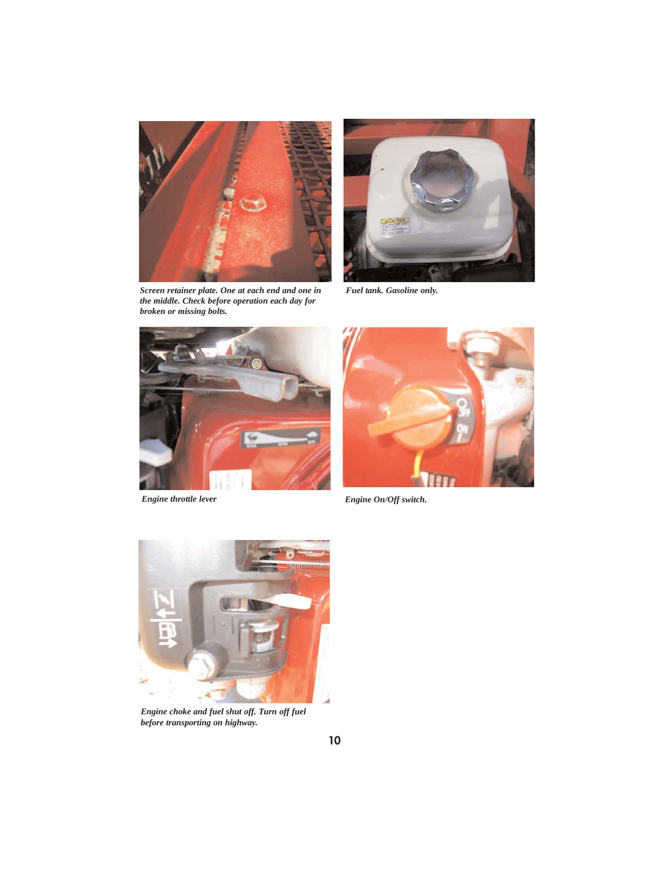

*Screen retainer plate. One at each end and one in the middle. Check before operation each day for broken or missing bolts.*



*Fuel tank. Gasoline only.*





*Engine throttle lever Engine On/Off switch.*



*Engine choke and fuel shut off. Turn off fuel before transporting on highway.*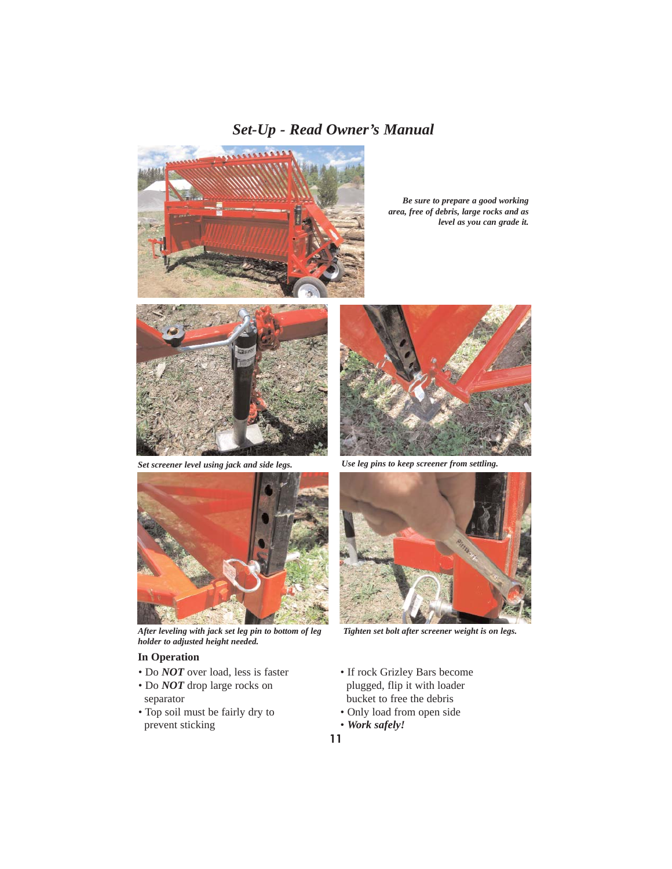## *Set-Up - Read Owner's Manual*



*Be sure to prepare a good working area, free of debris, large rocks and as level as you can grade it.*



*Set screener level using jack and side legs. Use leg pins to keep screener from settling.*



*After leveling with jack set leg pin to bottom of leg holder to adjusted height needed.*

### **In Operation**

- Do *NOT* over load, less is faster
- Do *NOT* drop large rocks on separator
- Top soil must be fairly dry to prevent sticking





*Tighten set bolt after screener weight is on legs.*

- If rock Grizley Bars become plugged, flip it with loader bucket to free the debris
- Only load from open side • *Work safely!*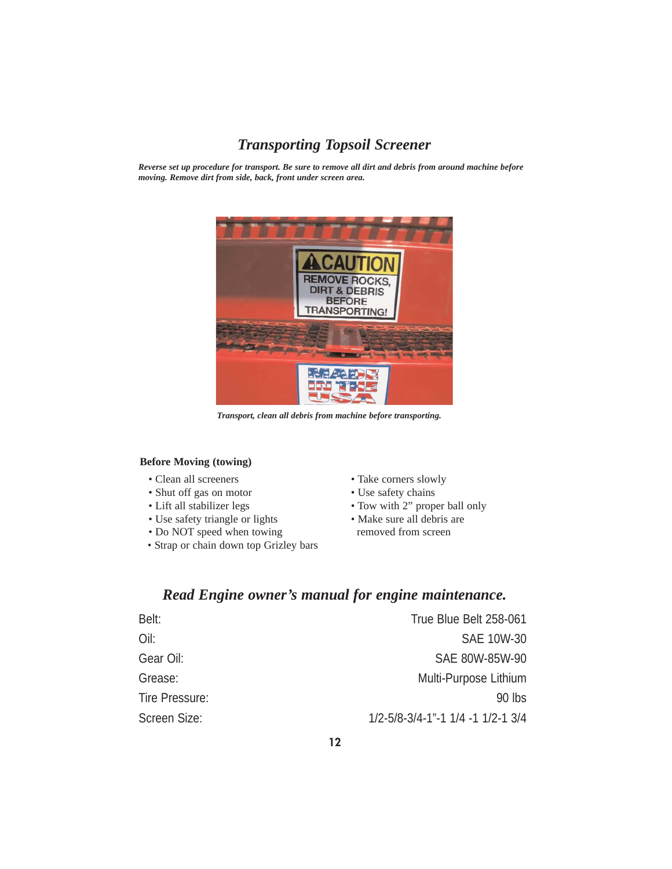## *Transporting Topsoil Screener*

*Reverse set up procedure for transport. Be sure to remove all dirt and debris from around machine before moving. Remove dirt from side, back, front under screen area.*



*Transport, clean all debris from machine before transporting.*

### **Before Moving (towing)**

- Clean all screeners
- Shut off gas on motor
- Lift all stabilizer legs
- Use safety triangle or lights
- Do NOT speed when towing
- Strap or chain down top Grizley bars
- Take corners slowly
- Use safety chains
- Tow with 2" proper ball only
- Make sure all debris are removed from screen

## *Read Engine owner's manual for engine maintenance.*

| Belt:          | True Blue Belt 258-061                          |
|----------------|-------------------------------------------------|
| Oil:           | <b>SAE 10W-30</b>                               |
| Gear Oil:      | SAE 80W-85W-90                                  |
| Grease:        | Multi-Purpose Lithium                           |
| Tire Pressure: | 90 lbs                                          |
| Screen Size:   | $1/2 - 5/8 - 3/4 - 1$ $1/4 - 1$ $1/2 - 1$ $3/4$ |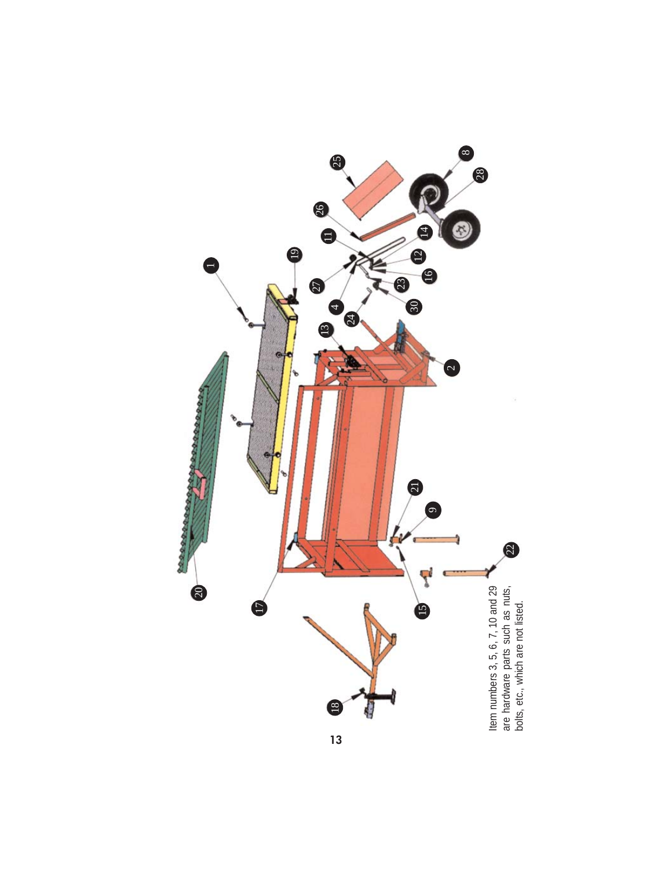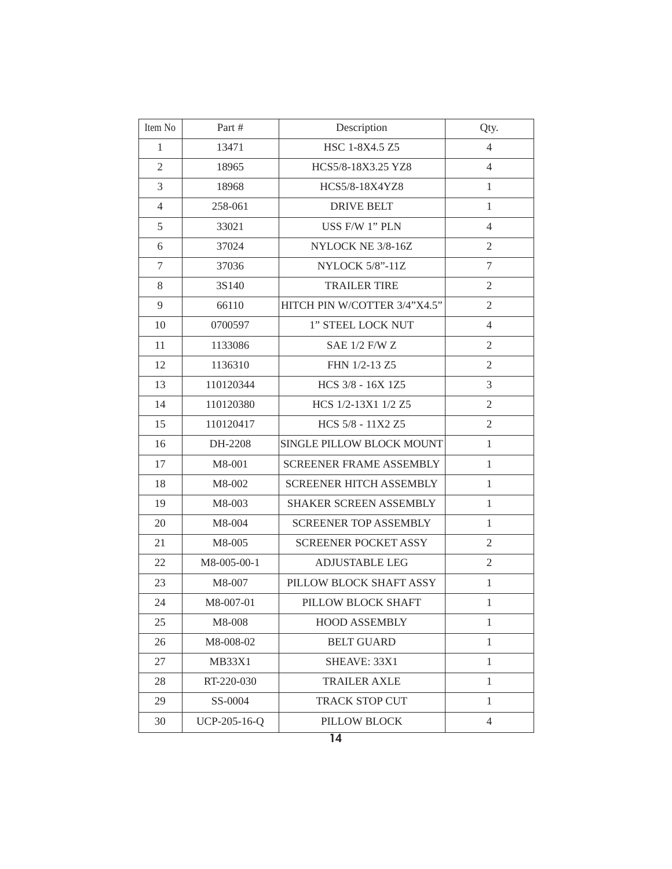| Item No        | Part #        | Description                    | Qty.           |
|----------------|---------------|--------------------------------|----------------|
| $\mathbf{1}$   | 13471         | HSC 1-8X4.5 Z5                 | $\overline{4}$ |
| $\overline{2}$ | 18965         | HCS5/8-18X3.25 YZ8             | $\overline{4}$ |
| 3              | 18968         | HCS5/8-18X4YZ8                 | $\mathbf{1}$   |
| $\overline{4}$ | 258-061       | <b>DRIVE BELT</b>              | $\mathbf{1}$   |
| 5              | 33021         | USS F/W 1" PLN                 | $\overline{4}$ |
| 6              | 37024         | NYLOCK NE 3/8-16Z              | $\mathfrak{2}$ |
| $\tau$         | 37036         | <b>NYLOCK 5/8"-11Z</b>         | 7              |
| 8              | 3S140         | <b>TRAILER TIRE</b>            | $\mathfrak{2}$ |
| 9              | 66110         | HITCH PIN W/COTTER 3/4"X4.5"   | $\mathfrak{2}$ |
| 10             | 0700597       | 1" STEEL LOCK NUT              | $\overline{4}$ |
| 11             | 1133086       | <b>SAE 1/2 F/W Z</b>           | $\mathfrak{2}$ |
| 12             | 1136310       | FHN 1/2-13 Z5                  | $\overline{2}$ |
| 13             | 110120344     | HCS 3/8 - 16X 1Z5              | 3              |
| 14             | 110120380     | HCS 1/2-13X1 1/2 Z5            | $\mathfrak{2}$ |
| 15             | 110120417     | HCS 5/8 - 11X2 Z5              | $\mathfrak{2}$ |
| 16             | DH-2208       | SINGLE PILLOW BLOCK MOUNT      | $\mathbf{1}$   |
| 17             | M8-001        | <b>SCREENER FRAME ASSEMBLY</b> | $\mathbf{1}$   |
| 18             | M8-002        | <b>SCREENER HITCH ASSEMBLY</b> | $\mathbf{1}$   |
| 19             | M8-003        | SHAKER SCREEN ASSEMBLY         | $\mathbf{1}$   |
| 20             | M8-004        | <b>SCREENER TOP ASSEMBLY</b>   | $\mathbf{1}$   |
| 21             | M8-005        | <b>SCREENER POCKET ASSY</b>    | $\mathfrak{2}$ |
| 22             | M8-005-00-1   | <b>ADJUSTABLE LEG</b>          | $\overline{2}$ |
| 23             | M8-007        | PILLOW BLOCK SHAFT ASSY        | $\mathbf{1}$   |
| 24             | M8-007-01     | PILLOW BLOCK SHAFT             | $\mathbf{1}$   |
| 25             | M8-008        | <b>HOOD ASSEMBLY</b>           | 1              |
| 26             | M8-008-02     | <b>BELT GUARD</b>              | $\mathbf{1}$   |
| 27             | <b>MB33X1</b> | SHEAVE: 33X1                   | $\mathbf{1}$   |
| 28             | RT-220-030    | <b>TRAILER AXLE</b>            | $\mathbf{1}$   |
| 29             | SS-0004       | <b>TRACK STOP CUT</b>          | $\mathbf{1}$   |
| 30             | UCP-205-16-Q  | PILLOW BLOCK                   | $\overline{4}$ |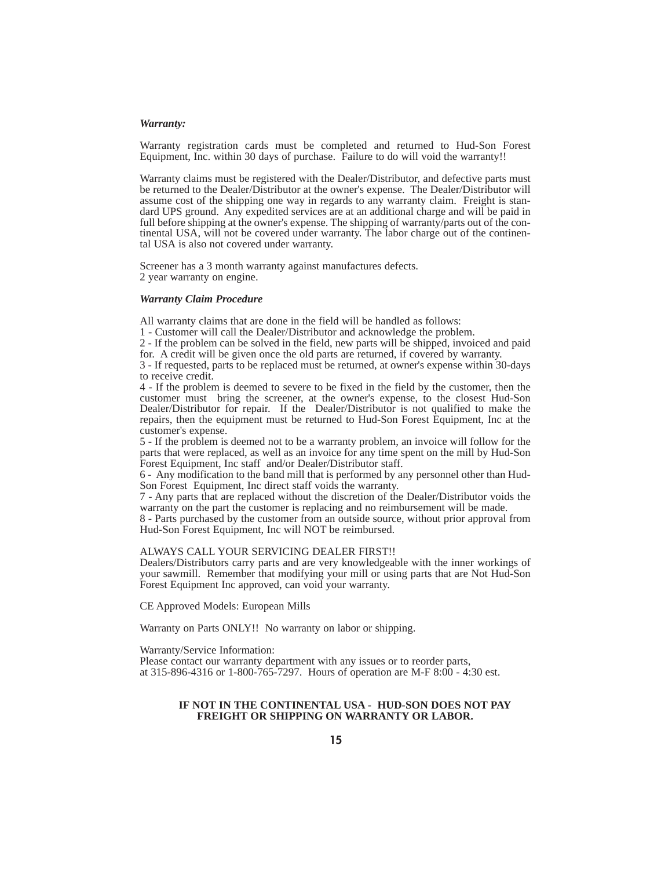#### *Warranty:*

Warranty registration cards must be completed and returned to Hud-Son Forest Equipment, Inc. within 30 days of purchase. Failure to do will void the warranty!!

Warranty claims must be registered with the Dealer/Distributor, and defective parts must be returned to the Dealer/Distributor at the owner's expense. The Dealer/Distributor will assume cost of the shipping one way in regards to any warranty claim. Freight is standard UPS ground. Any expedited services are at an additional charge and will be paid in full before shipping at the owner's expense. The shipping of warranty/parts out of the continental USA, will not be covered under warranty. The labor charge out of the continental USA is also not covered under warranty.

Screener has a 3 month warranty against manufactures defects. 2 year warranty on engine.

#### *Warranty Claim Procedure*

All warranty claims that are done in the field will be handled as follows:

1 - Customer will call the Dealer/Distributor and acknowledge the problem.

2 - If the problem can be solved in the field, new parts will be shipped, invoiced and paid for. A credit will be given once the old parts are returned, if covered by warranty.

3 - If requested, parts to be replaced must be returned, at owner's expense within 30-days to receive credit.

4 - If the problem is deemed to severe to be fixed in the field by the customer, then the customer must bring the screener, at the owner's expense, to the closest Hud-Son Dealer/Distributor for repair. If the Dealer/Distributor is not qualified to make the repairs, then the equipment must be returned to Hud-Son Forest Equipment, Inc at the customer's expense.

5 - If the problem is deemed not to be a warranty problem, an invoice will follow for the parts that were replaced, as well as an invoice for any time spent on the mill by Hud-Son Forest Equipment, Inc staff and/or Dealer/Distributor staff.

6 - Any modification to the band mill that is performed by any personnel other than Hud-Son Forest Equipment, Inc direct staff voids the warranty.

7 - Any parts that are replaced without the discretion of the Dealer/Distributor voids the warranty on the part the customer is replacing and no reimbursement will be made.

8 - Parts purchased by the customer from an outside source, without prior approval from Hud-Son Forest Equipment, Inc will NOT be reimbursed.

#### ALWAYS CALL YOUR SERVICING DEALER FIRST!!

Dealers/Distributors carry parts and are very knowledgeable with the inner workings of your sawmill. Remember that modifying your mill or using parts that are Not Hud-Son Forest Equipment Inc approved, can void your warranty.

CE Approved Models: European Mills

Warranty on Parts ONLY!! No warranty on labor or shipping.

Warranty/Service Information:

Please contact our warranty department with any issues or to reorder parts, at 315-896-4316 or 1-800-765-7297. Hours of operation are M-F 8:00 - 4:30 est.

### **IF NOT IN THE CONTINENTAL USA - HUD-SON DOES NOT PAY FREIGHT OR SHIPPING ON WARRANTY OR LABOR.**